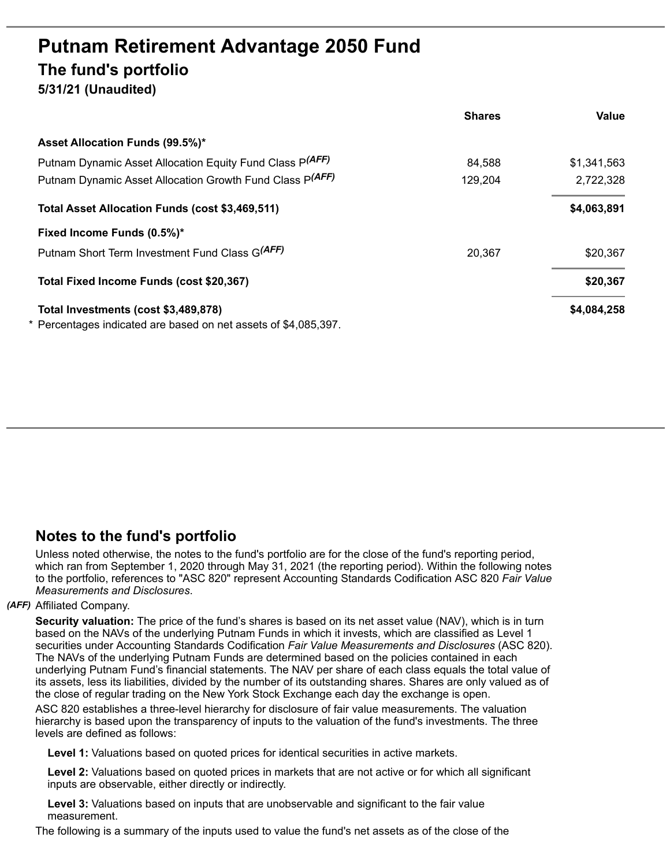# **Putnam Retirement Advantage 2050 Fund The fund's portfolio 5/31/21 (Unaudited)**

|                                                               | <b>Shares</b> | Value       |
|---------------------------------------------------------------|---------------|-------------|
| Asset Allocation Funds (99.5%)*                               |               |             |
| Putnam Dynamic Asset Allocation Equity Fund Class P(AFF)      | 84,588        | \$1,341,563 |
| Putnam Dynamic Asset Allocation Growth Fund Class P(AFF)      | 129,204       | 2,722,328   |
| Total Asset Allocation Funds (cost \$3,469,511)               |               | \$4,063,891 |
| Fixed Income Funds (0.5%)*                                    |               |             |
| Putnam Short Term Investment Fund Class G(AFF)                | 20,367        | \$20,367    |
| Total Fixed Income Funds (cost \$20,367)                      |               | \$20,367    |
| Total Investments (cost \$3,489,878)                          |               | \$4,084,258 |
| Percentages indicated are based on net assets of \$4,085,397. |               |             |

## **Notes to the fund's portfolio**

Unless noted otherwise, the notes to the fund's portfolio are for the close of the fund's reporting period, which ran from September 1, 2020 through May 31, 2021 (the reporting period). Within the following notes to the portfolio, references to "ASC 820" represent Accounting Standards Codification ASC 820 *Fair Value Measurements and Disclosures*.

### *(AFF)* Affiliated Company.

**Security valuation:** The price of the fund's shares is based on its net asset value (NAV), which is in turn based on the NAVs of the underlying Putnam Funds in which it invests, which are classified as Level 1 securities under Accounting Standards Codification *Fair Value Measurements and Disclosures* (ASC 820). The NAVs of the underlying Putnam Funds are determined based on the policies contained in each underlying Putnam Fund's financial statements. The NAV per share of each class equals the total value of its assets, less its liabilities, divided by the number of its outstanding shares. Shares are only valued as of the close of regular trading on the New York Stock Exchange each day the exchange is open.

ASC 820 establishes a three-level hierarchy for disclosure of fair value measurements. The valuation hierarchy is based upon the transparency of inputs to the valuation of the fund's investments. The three levels are defined as follows:

**Level 1:** Valuations based on quoted prices for identical securities in active markets.

**Level 2:** Valuations based on quoted prices in markets that are not active or for which all significant inputs are observable, either directly or indirectly.

**Level 3:** Valuations based on inputs that are unobservable and significant to the fair value measurement.

The following is a summary of the inputs used to value the fund's net assets as of the close of the